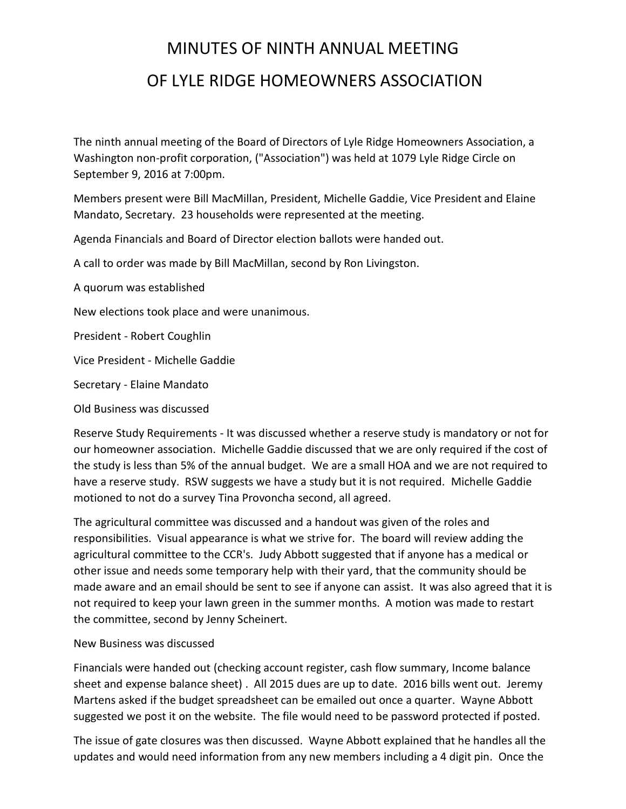## MINUTES OF NINTH ANNUAL MEETING OF LYLE RIDGE HOMEOWNERS ASSOCIATION

The ninth annual meeting of the Board of Directors of Lyle Ridge Homeowners Association, a Washington non-profit corporation, ("Association") was held at 1079 Lyle Ridge Circle on September 9, 2016 at 7:00pm.

Members present were Bill MacMillan, President, Michelle Gaddie, Vice President and Elaine Mandato, Secretary. 23 households were represented at the meeting.

Agenda Financials and Board of Director election ballots were handed out.

A call to order was made by Bill MacMillan, second by Ron Livingston.

A quorum was established

New elections took place and were unanimous.

President - Robert Coughlin

Vice President - Michelle Gaddie

Secretary - Elaine Mandato

Old Business was discussed

Reserve Study Requirements - It was discussed whether a reserve study is mandatory or not for our homeowner association. Michelle Gaddie discussed that we are only required if the cost of the study is less than 5% of the annual budget. We are a small HOA and we are not required to have a reserve study. RSW suggests we have a study but it is not required. Michelle Gaddie motioned to not do a survey Tina Provoncha second, all agreed.

The agricultural committee was discussed and a handout was given of the roles and responsibilities. Visual appearance is what we strive for. The board will review adding the agricultural committee to the CCR's. Judy Abbott suggested that if anyone has a medical or other issue and needs some temporary help with their yard, that the community should be made aware and an email should be sent to see if anyone can assist. It was also agreed that it is not required to keep your lawn green in the summer months. A motion was made to restart the committee, second by Jenny Scheinert.

## New Business was discussed

Financials were handed out (checking account register, cash flow summary, Income balance sheet and expense balance sheet) . All 2015 dues are up to date. 2016 bills went out. Jeremy Martens asked if the budget spreadsheet can be emailed out once a quarter. Wayne Abbott suggested we post it on the website. The file would need to be password protected if posted.

The issue of gate closures was then discussed. Wayne Abbott explained that he handles all the updates and would need information from any new members including a 4 digit pin. Once the